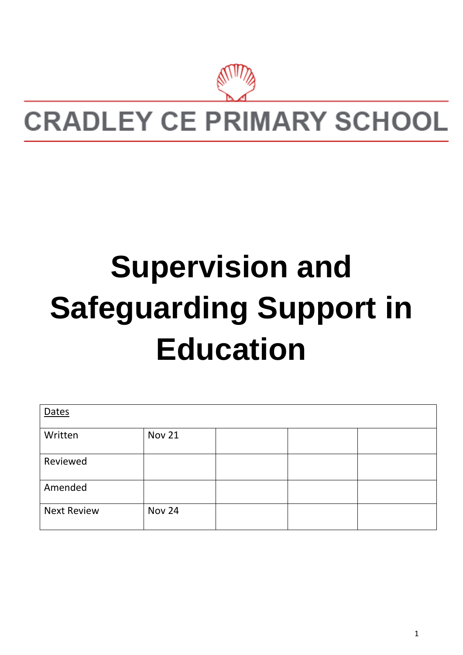

# **CRADLEY CE PRIMARY SCHOOL**

# **Supervision and Safeguarding Support in Education**

| Dates              |               |  |  |  |
|--------------------|---------------|--|--|--|
| Written            | <b>Nov 21</b> |  |  |  |
| Reviewed           |               |  |  |  |
| Amended            |               |  |  |  |
| <b>Next Review</b> | <b>Nov 24</b> |  |  |  |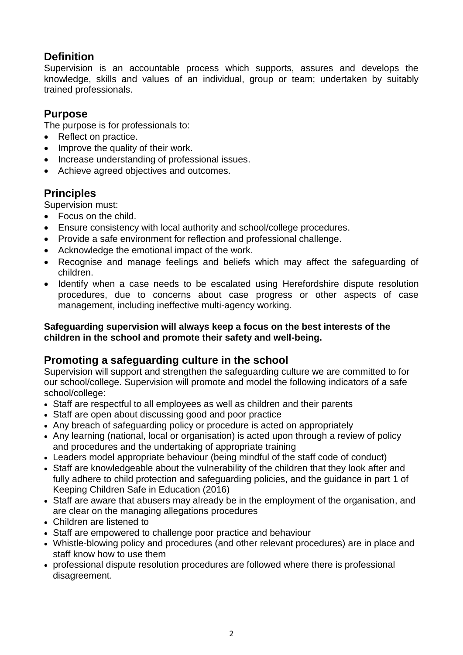# **Definition**

Supervision is an accountable process which supports, assures and develops the knowledge, skills and values of an individual, group or team; undertaken by suitably trained professionals.

# **Purpose**

The purpose is for professionals to:

- Reflect on practice.
- Improve the quality of their work.
- Increase understanding of professional issues.
- Achieve agreed objectives and outcomes.

# **Principles**

Supervision must:

- Focus on the child.
- Ensure consistency with local authority and school/college procedures.
- Provide a safe environment for reflection and professional challenge.
- Acknowledge the emotional impact of the work.
- Recognise and manage feelings and beliefs which may affect the safeguarding of children.
- Identify when a case needs to be escalated using Herefordshire dispute resolution procedures, due to concerns about case progress or other aspects of case management, including ineffective multi-agency working.

#### **Safeguarding supervision will always keep a focus on the best interests of the children in the school and promote their safety and well-being.**

# **Promoting a safeguarding culture in the school**

Supervision will support and strengthen the safeguarding culture we are committed to for our school/college. Supervision will promote and model the following indicators of a safe school/college:

- Staff are respectful to all employees as well as children and their parents
- Staff are open about discussing good and poor practice
- Any breach of safeguarding policy or procedure is acted on appropriately
- Any learning (national, local or organisation) is acted upon through a review of policy and procedures and the undertaking of appropriate training
- Leaders model appropriate behaviour (being mindful of the staff code of conduct)
- Staff are knowledgeable about the vulnerability of the children that they look after and fully adhere to child protection and safeguarding policies, and the guidance in part 1 of Keeping Children Safe in Education (2016)
- Staff are aware that abusers may already be in the employment of the organisation, and are clear on the managing allegations procedures
- Children are listened to
- Staff are empowered to challenge poor practice and behaviour
- Whistle-blowing policy and procedures (and other relevant procedures) are in place and staff know how to use them
- professional dispute resolution procedures are followed where there is professional disagreement.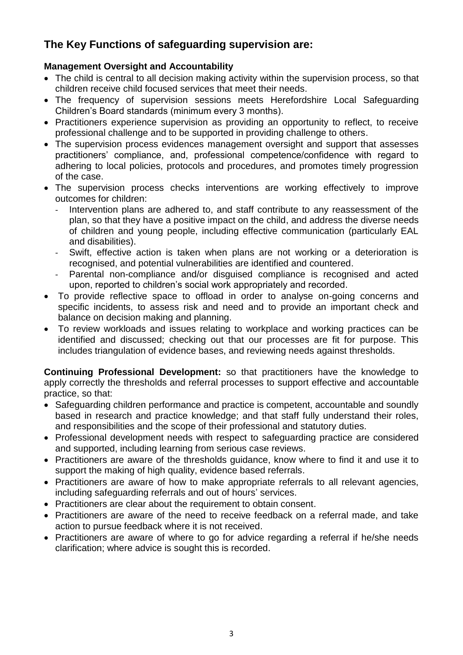# **The Key Functions of safeguarding supervision are:**

#### **Management Oversight and Accountability**

- The child is central to all decision making activity within the supervision process, so that children receive child focused services that meet their needs.
- The frequency of supervision sessions meets Herefordshire Local Safeguarding Children's Board standards (minimum every 3 months).
- Practitioners experience supervision as providing an opportunity to reflect, to receive professional challenge and to be supported in providing challenge to others.
- The supervision process evidences management oversight and support that assesses practitioners' compliance, and, professional competence/confidence with regard to adhering to local policies, protocols and procedures, and promotes timely progression of the case.
- The supervision process checks interventions are working effectively to improve outcomes for children:
	- Intervention plans are adhered to, and staff contribute to any reassessment of the plan, so that they have a positive impact on the child, and address the diverse needs of children and young people, including effective communication (particularly EAL and disabilities).
	- Swift, effective action is taken when plans are not working or a deterioration is recognised, and potential vulnerabilities are identified and countered.
	- Parental non-compliance and/or disguised compliance is recognised and acted upon, reported to children's social work appropriately and recorded.
- To provide reflective space to offload in order to analyse on-going concerns and specific incidents, to assess risk and need and to provide an important check and balance on decision making and planning.
- To review workloads and issues relating to workplace and working practices can be identified and discussed; checking out that our processes are fit for purpose. This includes triangulation of evidence bases, and reviewing needs against thresholds.

**Continuing Professional Development:** so that practitioners have the knowledge to apply correctly the thresholds and referral processes to support effective and accountable practice, so that:

- Safeguarding children performance and practice is competent, accountable and soundly based in research and practice knowledge; and that staff fully understand their roles, and responsibilities and the scope of their professional and statutory duties.
- Professional development needs with respect to safeguarding practice are considered and supported, including learning from serious case reviews.
- Practitioners are aware of the thresholds guidance, know where to find it and use it to support the making of high quality, evidence based referrals.
- Practitioners are aware of how to make appropriate referrals to all relevant agencies, including safeguarding referrals and out of hours' services.
- Practitioners are clear about the requirement to obtain consent.
- Practitioners are aware of the need to receive feedback on a referral made, and take action to pursue feedback where it is not received.
- Practitioners are aware of where to go for advice regarding a referral if he/she needs clarification; where advice is sought this is recorded.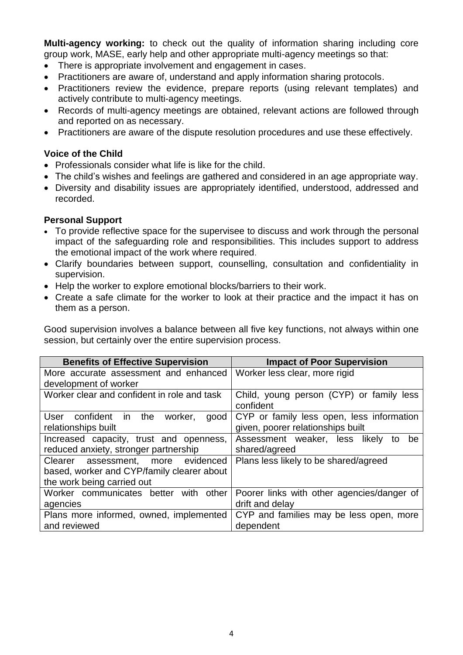**Multi-agency working:** to check out the quality of information sharing including core group work, MASE, early help and other appropriate multi-agency meetings so that:

- There is appropriate involvement and engagement in cases.
- Practitioners are aware of, understand and apply information sharing protocols.
- Practitioners review the evidence, prepare reports (using relevant templates) and actively contribute to multi-agency meetings.
- Records of multi-agency meetings are obtained, relevant actions are followed through and reported on as necessary.
- Practitioners are aware of the dispute resolution procedures and use these effectively.

#### **Voice of the Child**

- Professionals consider what life is like for the child.
- The child's wishes and feelings are gathered and considered in an age appropriate way.
- Diversity and disability issues are appropriately identified, understood, addressed and recorded.

#### **Personal Support**

- To provide reflective space for the supervisee to discuss and work through the personal impact of the safeguarding role and responsibilities. This includes support to address the emotional impact of the work where required.
- Clarify boundaries between support, counselling, consultation and confidentiality in supervision.
- Help the worker to explore emotional blocks/barriers to their work.
- Create a safe climate for the worker to look at their practice and the impact it has on them as a person.

Good supervision involves a balance between all five key functions, not always within one session, but certainly over the entire supervision process.

| <b>Benefits of Effective Supervision</b>    | <b>Impact of Poor Supervision</b>          |  |  |
|---------------------------------------------|--------------------------------------------|--|--|
| More accurate assessment and enhanced       | Worker less clear, more rigid              |  |  |
| development of worker                       |                                            |  |  |
| Worker clear and confident in role and task | Child, young person (CYP) or family less   |  |  |
|                                             | confident                                  |  |  |
| confident in the worker,<br>User<br>good    | CYP or family less open, less information  |  |  |
| relationships built                         | given, poorer relationships built          |  |  |
| Increased capacity, trust and openness,     | Assessment weaker, less likely<br>be<br>to |  |  |
| reduced anxiety, stronger partnership       | shared/agreed                              |  |  |
| Clearer assessment, more evidenced          | Plans less likely to be shared/agreed      |  |  |
| based, worker and CYP/family clearer about  |                                            |  |  |
| the work being carried out                  |                                            |  |  |
| Worker communicates better with<br>other    | Poorer links with other agencies/danger of |  |  |
| agencies                                    | drift and delay                            |  |  |
| Plans more informed, owned, implemented     | CYP and families may be less open, more    |  |  |
| and reviewed                                | dependent                                  |  |  |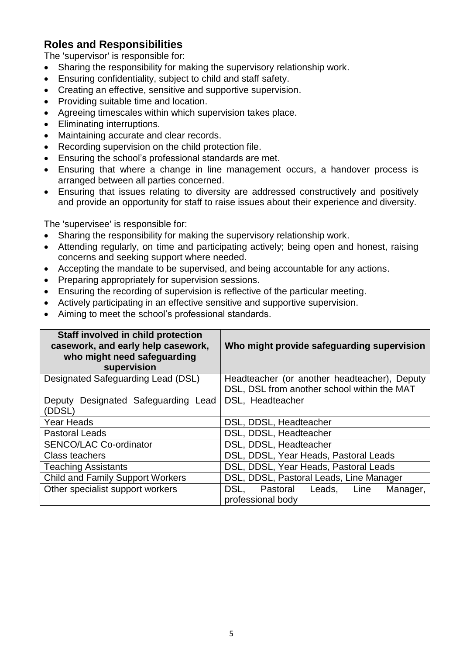# **Roles and Responsibilities**

The 'supervisor' is responsible for:

- Sharing the responsibility for making the supervisory relationship work.
- Ensuring confidentiality, subject to child and staff safety.
- Creating an effective, sensitive and supportive supervision.
- Providing suitable time and location.
- Agreeing timescales within which supervision takes place.
- Eliminating interruptions.
- Maintaining accurate and clear records.
- Recording supervision on the child protection file.
- Ensuring the school's professional standards are met.
- Ensuring that where a change in line management occurs, a handover process is arranged between all parties concerned.
- Ensuring that issues relating to diversity are addressed constructively and positively and provide an opportunity for staff to raise issues about their experience and diversity.

The 'supervisee' is responsible for:

- Sharing the responsibility for making the supervisory relationship work.
- Attending regularly, on time and participating actively; being open and honest, raising concerns and seeking support where needed.
- Accepting the mandate to be supervised, and being accountable for any actions.
- Preparing appropriately for supervision sessions.
- Ensuring the recording of supervision is reflective of the particular meeting.
- Actively participating in an effective sensitive and supportive supervision.
- Aiming to meet the school's professional standards.

| Staff involved in child protection<br>casework, and early help casework,<br>who might need safeguarding<br>supervision | Who might provide safeguarding supervision                       |  |  |
|------------------------------------------------------------------------------------------------------------------------|------------------------------------------------------------------|--|--|
| Designated Safeguarding Lead (DSL)                                                                                     | Headteacher (or another headteacher), Deputy                     |  |  |
|                                                                                                                        | DSL, DSL from another school within the MAT                      |  |  |
| Designated Safeguarding Lead<br>Deputy                                                                                 | DSL, Headteacher                                                 |  |  |
| (DDSL)                                                                                                                 |                                                                  |  |  |
| <b>Year Heads</b>                                                                                                      | DSL, DDSL, Headteacher                                           |  |  |
| <b>Pastoral Leads</b>                                                                                                  | DSL, DDSL, Headteacher                                           |  |  |
| <b>SENCO/LAC Co-ordinator</b>                                                                                          | DSL, DDSL, Headteacher                                           |  |  |
| <b>Class teachers</b>                                                                                                  | DSL, DDSL, Year Heads, Pastoral Leads                            |  |  |
| <b>Teaching Assistants</b>                                                                                             | DSL, DDSL, Year Heads, Pastoral Leads                            |  |  |
| <b>Child and Family Support Workers</b>                                                                                | DSL, DDSL, Pastoral Leads, Line Manager                          |  |  |
| Other specialist support workers                                                                                       | DSL.<br>Pastoral<br>Leads, Line<br>Manager,<br>professional body |  |  |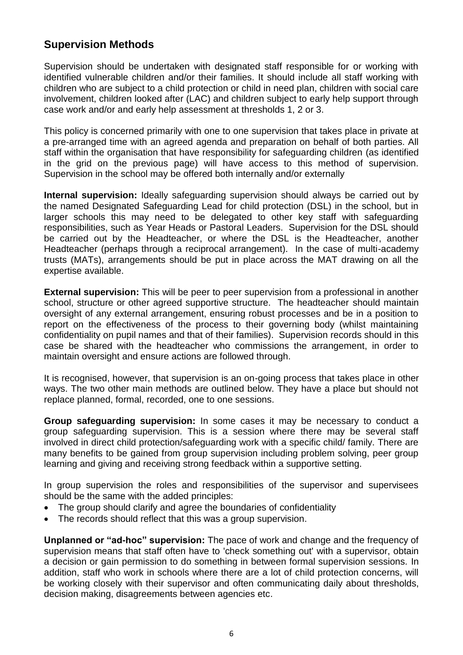# **Supervision Methods**

Supervision should be undertaken with designated staff responsible for or working with identified vulnerable children and/or their families. It should include all staff working with children who are subject to a child protection or child in need plan, children with social care involvement, children looked after (LAC) and children subject to early help support through case work and/or and early help assessment at thresholds 1, 2 or 3.

This policy is concerned primarily with one to one supervision that takes place in private at a pre-arranged time with an agreed agenda and preparation on behalf of both parties. All staff within the organisation that have responsibility for safeguarding children (as identified in the grid on the previous page) will have access to this method of supervision. Supervision in the school may be offered both internally and/or externally

**Internal supervision:** Ideally safeguarding supervision should always be carried out by the named Designated Safeguarding Lead for child protection (DSL) in the school, but in larger schools this may need to be delegated to other key staff with safeguarding responsibilities, such as Year Heads or Pastoral Leaders. Supervision for the DSL should be carried out by the Headteacher, or where the DSL is the Headteacher, another Headteacher (perhaps through a reciprocal arrangement). In the case of multi-academy trusts (MATs), arrangements should be put in place across the MAT drawing on all the expertise available.

**External supervision:** This will be peer to peer supervision from a professional in another school, structure or other agreed supportive structure. The headteacher should maintain oversight of any external arrangement, ensuring robust processes and be in a position to report on the effectiveness of the process to their governing body (whilst maintaining confidentiality on pupil names and that of their families). Supervision records should in this case be shared with the headteacher who commissions the arrangement, in order to maintain oversight and ensure actions are followed through.

It is recognised, however, that supervision is an on-going process that takes place in other ways. The two other main methods are outlined below. They have a place but should not replace planned, formal, recorded, one to one sessions.

**Group safeguarding supervision:** In some cases it may be necessary to conduct a group safeguarding supervision. This is a session where there may be several staff involved in direct child protection/safeguarding work with a specific child/ family. There are many benefits to be gained from group supervision including problem solving, peer group learning and giving and receiving strong feedback within a supportive setting.

In group supervision the roles and responsibilities of the supervisor and supervisees should be the same with the added principles:

- The group should clarify and agree the boundaries of confidentiality
- The records should reflect that this was a group supervision.

**Unplanned or "ad-hoc" supervision:** The pace of work and change and the frequency of supervision means that staff often have to 'check something out' with a supervisor, obtain a decision or gain permission to do something in between formal supervision sessions. In addition, staff who work in schools where there are a lot of child protection concerns, will be working closely with their supervisor and often communicating daily about thresholds, decision making, disagreements between agencies etc.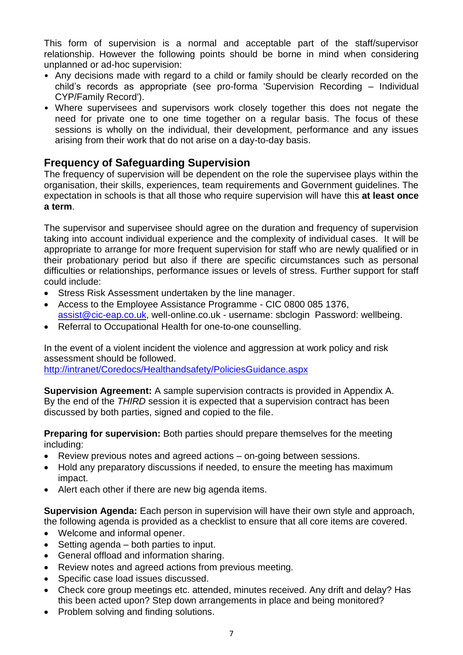This form of supervision is a normal and acceptable part of the staff/supervisor relationship. However the following points should be borne in mind when considering unplanned or ad-hoc supervision:

- Any decisions made with regard to a child or family should be clearly recorded on the child's records as appropriate (see pro-forma 'Supervision Recording – Individual CYP/Family Record').
- Where supervisees and supervisors work closely together this does not negate the need for private one to one time together on a regular basis. The focus of these sessions is wholly on the individual, their development, performance and any issues arising from their work that do not arise on a day-to-day basis.

# **Frequency of Safeguarding Supervision**

The frequency of supervision will be dependent on the role the supervisee plays within the organisation, their skills, experiences, team requirements and Government guidelines. The expectation in schools is that all those who require supervision will have this **at least once a term**.

The supervisor and supervisee should agree on the duration and frequency of supervision taking into account individual experience and the complexity of individual cases. It will be appropriate to arrange for more frequent supervision for staff who are newly qualified or in their probationary period but also if there are specific circumstances such as personal difficulties or relationships, performance issues or levels of stress. Further support for staff could include:

- Stress Risk Assessment undertaken by the line manager.
- Access to the Employee Assistance Programme CIC 0800 085 1376, [assist@cic-eap.co.uk,](mailto:assist@cic-eap.co.uk) well-online.co.uk - username: sbclogin Password: wellbeing.
- Referral to Occupational Health for one-to-one counselling.

In the event of a violent incident the violence and aggression at work policy and risk assessment should be followed.

<http://intranet/Coredocs/Healthandsafety/PoliciesGuidance.aspx>

**Supervision Agreement:** A sample supervision contracts is provided in Appendix A. By the end of the *THIRD* session it is expected that a supervision contract has been discussed by both parties, signed and copied to the file.

**Preparing for supervision:** Both parties should prepare themselves for the meeting including:

- Review previous notes and agreed actions on-going between sessions.
- Hold any preparatory discussions if needed, to ensure the meeting has maximum impact.
- Alert each other if there are new big agenda items.

**Supervision Agenda:** Each person in supervision will have their own style and approach, the following agenda is provided as a checklist to ensure that all core items are covered.

- Welcome and informal opener.
- Setting agenda both parties to input.
- General offload and information sharing.
- Review notes and agreed actions from previous meeting.
- Specific case load issues discussed.
- Check core group meetings etc. attended, minutes received. Any drift and delay? Has this been acted upon? Step down arrangements in place and being monitored?
- Problem solving and finding solutions.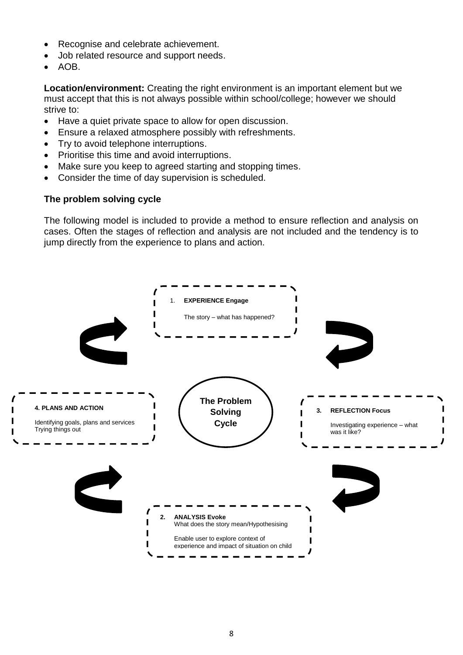- Recognise and celebrate achievement.
- Job related resource and support needs.
- AOB.

**Location/environment:** Creating the right environment is an important element but we must accept that this is not always possible within school/college; however we should strive to:

- Have a quiet private space to allow for open discussion.
- Ensure a relaxed atmosphere possibly with refreshments.
- Try to avoid telephone interruptions.
- Prioritise this time and avoid interruptions.
- Make sure you keep to agreed starting and stopping times.
- Consider the time of day supervision is scheduled.

#### **The problem solving cycle**

The following model is included to provide a method to ensure reflection and analysis on cases. Often the stages of reflection and analysis are not included and the tendency is to jump directly from the experience to plans and action.

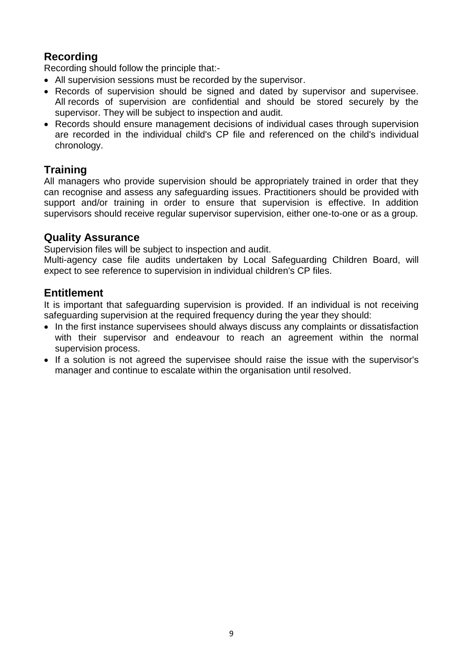# **Recording**

Recording should follow the principle that:-

- All supervision sessions must be recorded by the supervisor.
- Records of supervision should be signed and dated by supervisor and supervisee. All records of supervision are confidential and should be stored securely by the supervisor. They will be subject to inspection and audit.
- Records should ensure management decisions of individual cases through supervision are recorded in the individual child's CP file and referenced on the child's individual chronology.

# **Training**

All managers who provide supervision should be appropriately trained in order that they can recognise and assess any safeguarding issues. Practitioners should be provided with support and/or training in order to ensure that supervision is effective. In addition supervisors should receive regular supervisor supervision, either one-to-one or as a group.

#### **Quality Assurance**

Supervision files will be subject to inspection and audit.

Multi-agency case file audits undertaken by Local Safeguarding Children Board, will expect to see reference to supervision in individual children's CP files.

# **Entitlement**

It is important that safeguarding supervision is provided. If an individual is not receiving safeguarding supervision at the required frequency during the year they should:

- In the first instance supervisees should always discuss any complaints or dissatisfaction with their supervisor and endeavour to reach an agreement within the normal supervision process.
- If a solution is not agreed the supervisee should raise the issue with the supervisor's manager and continue to escalate within the organisation until resolved.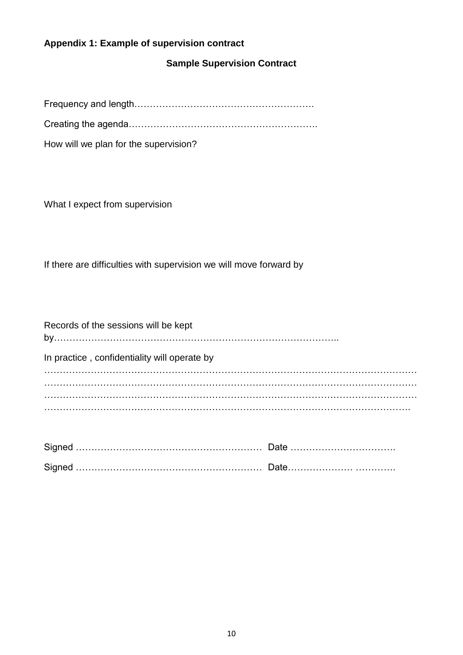#### **Appendix 1: Example of supervision contract**

#### **Sample Supervision Contract**

Frequency and length………………………………………………….

Creating the agenda…………………………………………………….

How will we plan for the supervision?

What I expect from supervision

If there are difficulties with supervision we will move forward by

| Records of the sessions will be kept         |
|----------------------------------------------|
| In practice, confidentiality will operate by |
|                                              |
|                                              |
|                                              |
|                                              |
|                                              |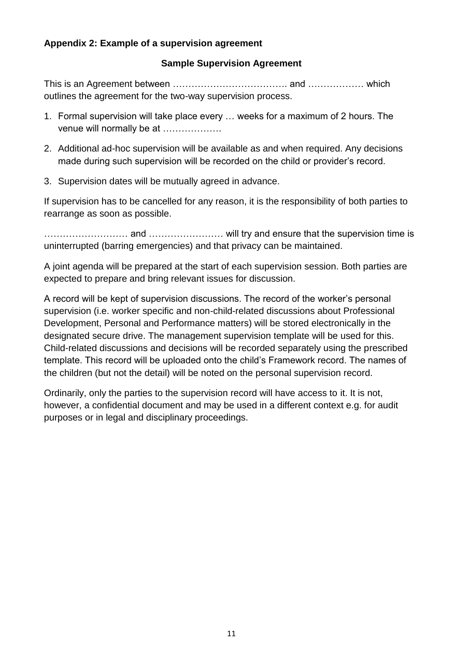#### **Appendix 2: Example of a supervision agreement**

#### **Sample Supervision Agreement**

This is an Agreement between ………………………………. and ……………… which outlines the agreement for the two-way supervision process.

- 1. Formal supervision will take place every … weeks for a maximum of 2 hours. The venue will normally be at ...................
- 2. Additional ad-hoc supervision will be available as and when required. Any decisions made during such supervision will be recorded on the child or provider's record.
- 3. Supervision dates will be mutually agreed in advance.

If supervision has to be cancelled for any reason, it is the responsibility of both parties to rearrange as soon as possible.

……………………… and …………………… will try and ensure that the supervision time is uninterrupted (barring emergencies) and that privacy can be maintained.

A joint agenda will be prepared at the start of each supervision session. Both parties are expected to prepare and bring relevant issues for discussion.

A record will be kept of supervision discussions. The record of the worker's personal supervision (i.e. worker specific and non-child-related discussions about Professional Development, Personal and Performance matters) will be stored electronically in the designated secure drive. The management supervision template will be used for this. Child-related discussions and decisions will be recorded separately using the prescribed template. This record will be uploaded onto the child's Framework record. The names of the children (but not the detail) will be noted on the personal supervision record.

Ordinarily, only the parties to the supervision record will have access to it. It is not, however, a confidential document and may be used in a different context e.g. for audit purposes or in legal and disciplinary proceedings.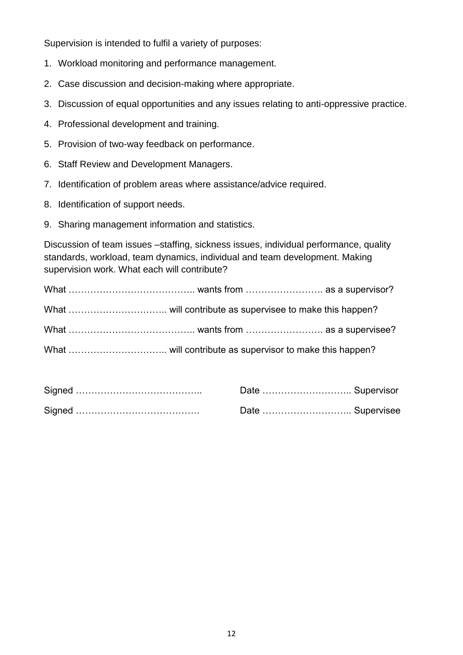Supervision is intended to fulfil a variety of purposes:

- 1. Workload monitoring and performance management.
- 2. Case discussion and decision-making where appropriate.
- 3. Discussion of equal opportunities and any issues relating to anti-oppressive practice.
- 4. Professional development and training.
- 5. Provision of two-way feedback on performance.
- 6. Staff Review and Development Managers.
- 7. Identification of problem areas where assistance/advice required.
- 8. Identification of support needs.
- 9. Sharing management information and statistics.

Discussion of team issues –staffing, sickness issues, individual performance, quality standards, workload, team dynamics, individual and team development. Making supervision work. What each will contribute?

| Date  Supervisor |  |
|------------------|--|
| Date  Supervisee |  |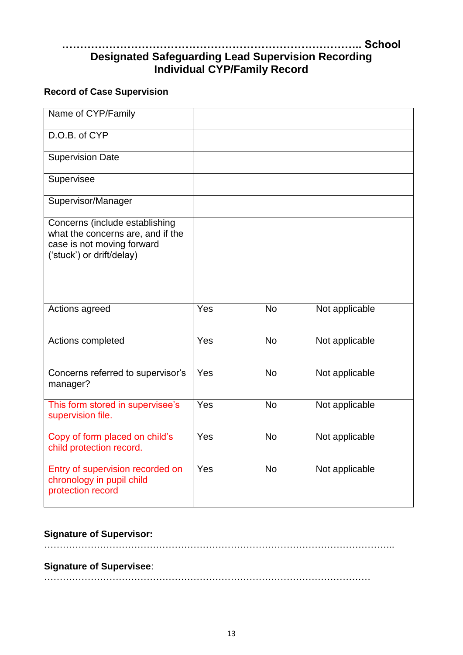# **……………………………………………………………………….. School Designated Safeguarding Lead Supervision Recording Individual CYP/Family Record**

### **Record of Case Supervision**

| Name of CYP/Family                                                                                                             |     |           |                |
|--------------------------------------------------------------------------------------------------------------------------------|-----|-----------|----------------|
| D.O.B. of CYP                                                                                                                  |     |           |                |
| <b>Supervision Date</b>                                                                                                        |     |           |                |
| Supervisee                                                                                                                     |     |           |                |
| Supervisor/Manager                                                                                                             |     |           |                |
| Concerns (include establishing<br>what the concerns are, and if the<br>case is not moving forward<br>('stuck') or drift/delay) |     |           |                |
| Actions agreed                                                                                                                 | Yes | <b>No</b> | Not applicable |
| Actions completed                                                                                                              | Yes | <b>No</b> | Not applicable |
| Concerns referred to supervisor's<br>manager?                                                                                  | Yes | <b>No</b> | Not applicable |
| This form stored in supervisee's<br>supervision file.                                                                          | Yes | <b>No</b> | Not applicable |
| Copy of form placed on child's<br>child protection record.                                                                     | Yes | <b>No</b> | Not applicable |
| Entry of supervision recorded on<br>chronology in pupil child<br>protection record                                             | Yes | <b>No</b> | Not applicable |

#### **Signature of Supervisor:**

…………………………………………………………………………………………………..

#### **Signature of Supervisee**:

……………………………………………………………………………………………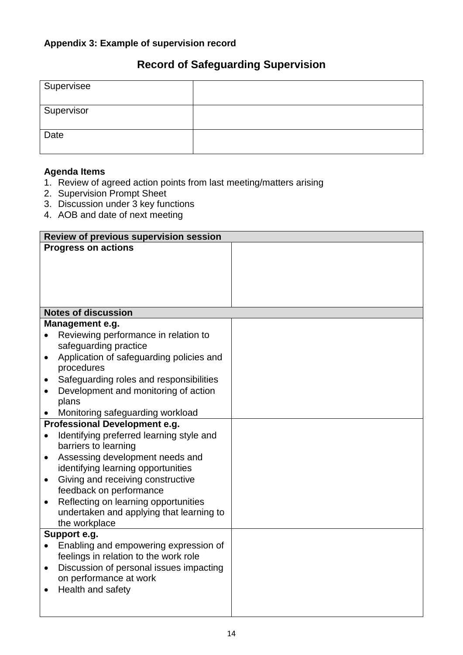# **Record of Safeguarding Supervision**

| Supervisee |  |
|------------|--|
| Supervisor |  |
| Date       |  |

#### **Agenda Items**

- 1. Review of agreed action points from last meeting/matters arising
- 2. Supervision Prompt Sheet
- 3. Discussion under 3 key functions
- 4. AOB and date of next meeting

|           | Review of previous supervision session                                           |  |
|-----------|----------------------------------------------------------------------------------|--|
|           | <b>Progress on actions</b>                                                       |  |
|           | <b>Notes of discussion</b>                                                       |  |
|           | Management e.g.                                                                  |  |
|           | Reviewing performance in relation to                                             |  |
|           | safeguarding practice                                                            |  |
| $\bullet$ | Application of safeguarding policies and                                         |  |
|           | procedures                                                                       |  |
| $\bullet$ | Safeguarding roles and responsibilities                                          |  |
| $\bullet$ | Development and monitoring of action                                             |  |
|           | plans                                                                            |  |
|           | Monitoring safeguarding workload                                                 |  |
|           | Professional Development e.g.                                                    |  |
| $\bullet$ | Identifying preferred learning style and                                         |  |
|           | barriers to learning                                                             |  |
| $\bullet$ | Assessing development needs and                                                  |  |
|           | identifying learning opportunities                                               |  |
| $\bullet$ | Giving and receiving constructive                                                |  |
|           | feedback on performance                                                          |  |
| $\bullet$ | Reflecting on learning opportunities<br>undertaken and applying that learning to |  |
|           | the workplace                                                                    |  |
|           | Support e.g.                                                                     |  |
|           | Enabling and empowering expression of                                            |  |
|           | feelings in relation to the work role                                            |  |
| $\bullet$ | Discussion of personal issues impacting                                          |  |
|           | on performance at work                                                           |  |
|           | Health and safety                                                                |  |
|           |                                                                                  |  |
|           |                                                                                  |  |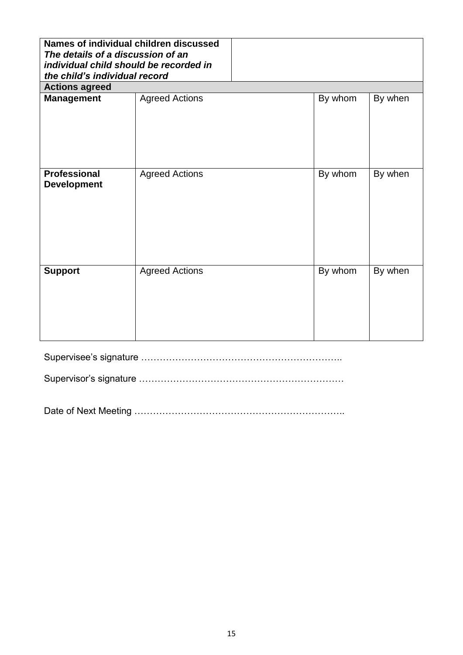| Names of individual children discussed<br>The details of a discussion of an<br>individual child should be recorded in<br>the child's individual record |                       |         |         |  |
|--------------------------------------------------------------------------------------------------------------------------------------------------------|-----------------------|---------|---------|--|
| <b>Actions agreed</b>                                                                                                                                  |                       |         |         |  |
| <b>Management</b>                                                                                                                                      | <b>Agreed Actions</b> | By whom | By when |  |
| <b>Professional</b><br><b>Development</b>                                                                                                              | <b>Agreed Actions</b> | By whom | By when |  |
| <b>Support</b>                                                                                                                                         | <b>Agreed Actions</b> | By whom | By when |  |

Supervisee's signature ………………………………………………………..

Supervisor's signature …………………………………………………………

Date of Next Meeting …………………………………………………………..